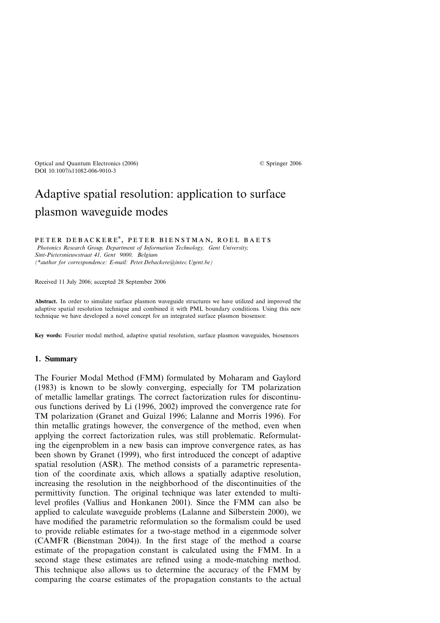## Adaptive spatial resolution: application to surface plasmon waveguide modes

PETER DEBACKERE<sup>\*</sup>, PETER BIENSTMAN, ROEL BAETS *Photonics Research Group, Department of Information Technology, Gent University, Sint-Pietersnieuwstraat 41, Gent 9000, Belgium (\*author for correspondence: E-mail: Peter.Debackere@intec.Ugent.be)*

Received 11 July 2006; accepted 28 September 2006

**Abstract.** In order to simulate surface plasmon waveguide structures we have utilized and improved the adaptive spatial resolution technique and combined it with PML boundary conditions. Using this new technique we have developed a novel concept for an integrated surface plasmon biosensor.

**Key words:** Fourier modal method, adaptive spatial resolution, surface plasmon waveguides, biosensors

## **1. Summary**

The Fourier Modal Method (FMM) formulated by Moharam and Gaylord (1983) is known to be slowly converging, especially for TM polarization of metallic lamellar gratings. The correct factorization rules for discontinuous functions derived by Li (1996, 2002) improved the convergence rate for TM polarization (Granet and Guizal 1996; Lalanne and Morris 1996). For thin metallic gratings however, the convergence of the method, even when applying the correct factorization rules, was still problematic. Reformulating the eigenproblem in a new basis can improve convergence rates, as has been shown by Granet (1999), who first introduced the concept of adaptive spatial resolution (ASR). The method consists of a parametric representation of the coordinate axis, which allows a spatially adaptive resolution, increasing the resolution in the neighborhood of the discontinuities of the permittivity function. The original technique was later extended to multilevel profiles (Vallius and Honkanen 2001). Since the FMM can also be applied to calculate waveguide problems (Lalanne and Silberstein 2000), we have modified the parametric reformulation so the formalism could be used to provide reliable estimates for a two-stage method in a eigenmode solver (CAMFR (Bienstman 2004)). In the first stage of the method a coarse estimate of the propagation constant is calculated using the FMM. In a second stage these estimates are refined using a mode-matching method. This technique also allows us to determine the accuracy of the FMM by comparing the coarse estimates of the propagation constants to the actual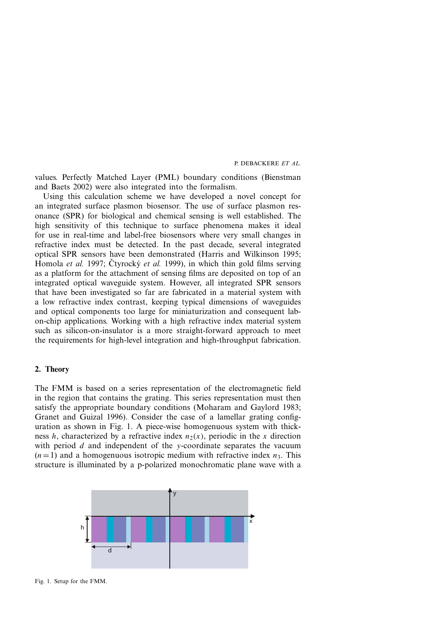values. Perfectly Matched Layer (PML) boundary conditions (Bienstman and Baets 2002) were also integrated into the formalism.

Using this calculation scheme we have developed a novel concept for an integrated surface plasmon biosensor. The use of surface plasmon resonance (SPR) for biological and chemical sensing is well established. The high sensitivity of this technique to surface phenomena makes it ideal for use in real-time and label-free biosensors where very small changes in refractive index must be detected. In the past decade, several integrated optical SPR sensors have been demonstrated (Harris and Wilkinson 1995; Homola *et al.* 1997; Čtyrocký *et al.* 1999), in which thin gold films serving as a platform for the attachment of sensing films are deposited on top of an integrated optical waveguide system. However, all integrated SPR sensors that have been investigated so far are fabricated in a material system with a low refractive index contrast, keeping typical dimensions of waveguides and optical components too large for miniaturization and consequent labon-chip applications. Working with a high refractive index material system such as silicon-on-insulator is a more straight-forward approach to meet the requirements for high-level integration and high-throughput fabrication.

## **2. Theory**

The FMM is based on a series representation of the electromagnetic field in the region that contains the grating. This series representation must then satisfy the appropriate boundary conditions (Moharam and Gaylord 1983; Granet and Guizal 1996). Consider the case of a lamellar grating configuration as shown in Fig. 1. A piece-wise homogenuous system with thickness *h*, characterized by a refractive index  $n_2(x)$ , periodic in the *x* direction with period *d* and independent of the *y*-coordinate separates the vacuum  $(n=1)$  and a homogenuous isotropic medium with refractive index  $n_3$ . This structure is illuminated by a p-polarized monochromatic plane wave with a



Fig. 1. Setup for the FMM.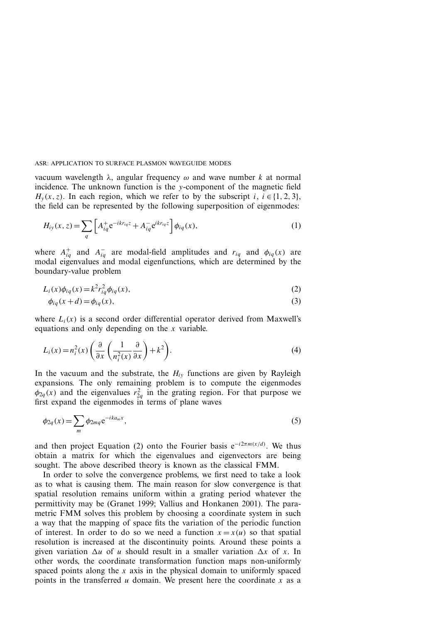vacuum wavelength *λ*, angular frequency *ω* and wave number *k* at normal incidence. The unknown function is the *y*-component of the magnetic field  $H_y(x, z)$ . In each region, which we refer to by the subscript *i*,  $i \in \{1, 2, 3\}$ , the field can be represented by the following superposition of eigenmodes:

$$
H_{iy}(x,z) = \sum_{q} \left[ A_{iq}^{+} e^{-ikr_{iq}z} + A_{iq}^{-} e^{ikr_{iq}z} \right] \phi_{iq}(x), \qquad (1)
$$

where  $A_{ia}^+$  and  $A_{ia}^-$  are modal-field amplitudes and  $r_{iq}$  and  $\phi_{iq}(x)$  are modal eigenvalues and modal eigenfunctions, which are determined by the boundary-value problem

$$
L_i(x)\phi_{iq}(x) = k^2 r_{iq}^2 \phi_{iq}(x),
$$
\n(2)

$$
\phi_{iq}(x+d) = \phi_{iq}(x),\tag{3}
$$

where  $L_i(x)$  is a second order differential operator derived from Maxwell's equations and only depending on the *x* variable.

$$
L_i(x) = n_i^2(x) \left( \frac{\partial}{\partial x} \left( \frac{1}{n_i^2(x)} \frac{\partial}{\partial x} \right) + k^2 \right).
$$
 (4)

In the vacuum and the substrate, the  $H_{i\nu}$  functions are given by Rayleigh expansions. The only remaining problem is to compute the eigenmodes  $\phi_{2q}(x)$  and the eigenvalues  $r_{2q}^2$  in the grating region. For that purpose we first expand the eigenmodes  $\overline{r}_1^4$  terms of plane waves

$$
\phi_{2q}(x) = \sum_{m} \phi_{2mq} e^{-ik a_m x},\tag{5}
$$

and then project Equation (2) onto the Fourier basis  $e^{-i2\pi m(x/d)}$ . We thus obtain a matrix for which the eigenvalues and eigenvectors are being sought. The above described theory is known as the classical FMM.

In order to solve the convergence problems, we first need to take a look as to what is causing them. The main reason for slow convergence is that spatial resolution remains uniform within a grating period whatever the permittivity may be (Granet 1999; Vallius and Honkanen 2001). The parametric FMM solves this problem by choosing a coordinate system in such a way that the mapping of space fits the variation of the periodic function of interest. In order to do so we need a function  $x = x(u)$  so that spatial resolution is increased at the discontinuity points. Around these points a given variation  $\Delta u$  of *u* should result in a smaller variation  $\Delta x$  of *x*. In other words, the coordinate transformation function maps non-uniformly spaced points along the *x* axis in the physical domain to uniformly spaced points in the transferred *u* domain. We present here the coordinate *x* as a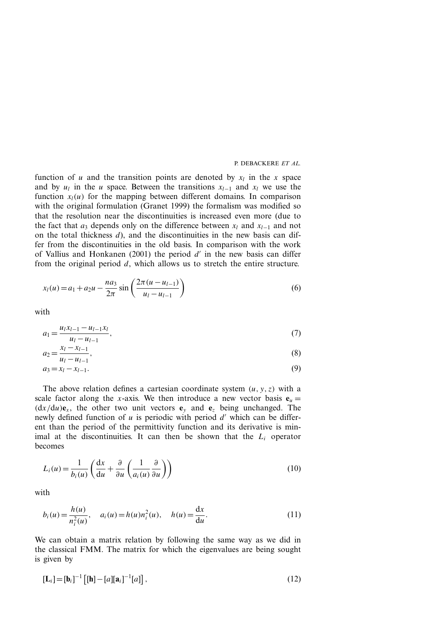function of *u* and the transition points are denoted by  $x_l$  in the *x* space and by  $u_l$  in the *u* space. Between the transitions  $x_{l-1}$  and  $x_l$  we use the function  $x_l(u)$  for the mapping between different domains. In comparison with the original formulation (Granet 1999) the formalism was modified so that the resolution near the discontinuities is increased even more (due to the fact that  $a_3$  depends only on the difference between  $x_l$  and  $x_{l-1}$  and not on the total thickness *d*), and the discontinuities in the new basis can differ from the discontinuities in the old basis. In comparison with the work of Vallius and Honkanen (2001) the period d' in the new basis can differ from the original period *d*, which allows us to stretch the entire structure.

$$
x_l(u) = a_1 + a_2 u - \frac{n a_3}{2\pi} \sin\left(\frac{2\pi (u - u_{l-1})}{u_l - u_{l-1}}\right)
$$
(6)

with

$$
a_1 = \frac{u_l x_{l-1} - u_{l-1} x_l}{u_l - u_{l-1}},
$$
\n<sup>(7)</sup>

$$
a_2 = \frac{x_l - x_{l-1}}{u_l - u_{l-1}},\tag{8}
$$

$$
a_3 = x_l - x_{l-1}.\tag{9}
$$

The above relation defines a cartesian coordinate system  $(u, y, z)$  with a scale factor along the *x*-axis. We then introduce a new vector basis  $\mathbf{e}_u =$  $(dx/du)e_x$ , the other two unit vectors  $e_y$  and  $e_z$  being unchanged. The newly defined function of  $u$  is periodic with period  $d'$  which can be different than the period of the permittivity function and its derivative is minimal at the discontinuities. It can then be shown that the  $L_i$  operator becomes

$$
L_i(u) = \frac{1}{b_i(u)} \left( \frac{dx}{du} + \frac{\partial}{\partial u} \left( \frac{1}{a_i(u)} \frac{\partial}{\partial u} \right) \right)
$$
(10)

with

$$
b_i(u) = \frac{h(u)}{n_i^2(u)}, \quad a_i(u) = h(u)n_i^2(u), \quad h(u) = \frac{dx}{du}.
$$
 (11)

We can obtain a matrix relation by following the same way as we did in the classical FMM. The matrix for which the eigenvalues are being sought is given by

$$
[\mathbf{L}_i] = [\mathbf{b}_i]^{-1} [\mathbf{[h]} - [a][\mathbf{a}_i]^{-1}[a]], \qquad (12)
$$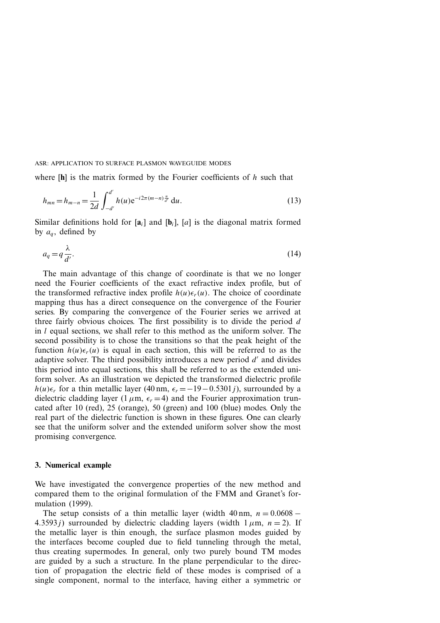where [**h**] is the matrix formed by the Fourier coefficients of *h* such that

$$
h_{mn} = h_{m-n} = \frac{1}{2d} \int_{-d'}^{d'} h(u) e^{-i2\pi(m-n)\frac{u}{d'}} du.
$$
 (13)

Similar definitions hold for  $[a_i]$  and  $[b_i]$ ,  $[a]$  is the diagonal matrix formed by  $a_{q}$ , defined by

$$
a_q = q \frac{\lambda}{d'}.\tag{14}
$$

The main advantage of this change of coordinate is that we no longer need the Fourier coefficients of the exact refractive index profile, but of the transformed refractive index profile  $h(u)\epsilon_r(u)$ . The choice of coordinate mapping thus has a direct consequence on the convergence of the Fourier series. By comparing the convergence of the Fourier series we arrived at three fairly obvious choices. The first possibility is to divide the period *d* in *l* equal sections, we shall refer to this method as the uniform solver. The second possibility is to chose the transitions so that the peak height of the function  $h(u)\epsilon_r(u)$  is equal in each section, this will be referred to as the adaptive solver. The third possibility introduces a new period d' and divides this period into equal sections, this shall be referred to as the extended uniform solver. As an illustration we depicted the transformed dielectric profile *h*(*u*) $\epsilon_r$  for a thin metallic layer (40 nm,  $\epsilon_r = -19 - 0.5301$ *j*), surrounded by a dielectric cladding layer (1  $\mu$ m,  $\epsilon_r$  = 4) and the Fourier approximation truncated after 10 (red), 25 (orange), 50 (green) and 100 (blue) modes. Only the real part of the dielectric function is shown in these figures. One can clearly see that the uniform solver and the extended uniform solver show the most promising convergence.

## **3. Numerical example**

We have investigated the convergence properties of the new method and compared them to the original formulation of the FMM and Granet's formulation (1999).

The setup consists of a thin metallic layer (width  $40 \text{ nm}$ ,  $n = 0.0608 -$ 4.3593*j*) surrounded by dielectric cladding layers (width  $1 \mu m$ ,  $n = 2$ ). If the metallic layer is thin enough, the surface plasmon modes guided by the interfaces become coupled due to field tunneling through the metal, thus creating supermodes. In general, only two purely bound TM modes are guided by a such a structure. In the plane perpendicular to the direction of propagation the electric field of these modes is comprised of a single component, normal to the interface, having either a symmetric or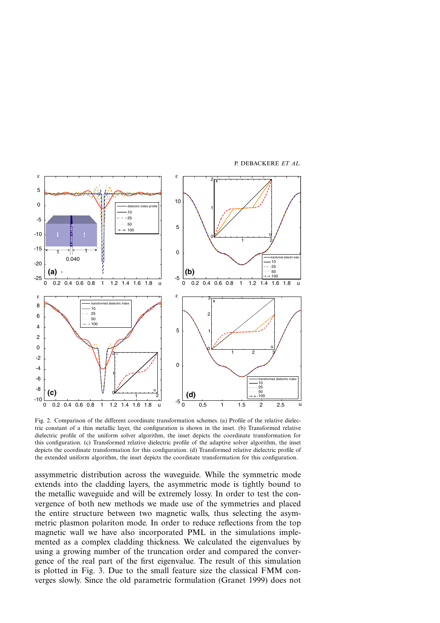

Fig. 2. Comparison of the different coordinate transformation schemes. (a) Profile of the relative dielectric constant of a thin metallic layer, the configuration is shown in the inset. (b) Transformed relative dielectric profile of the uniform solver algorithm, the inset depicts the coordinate transformation for this configuration. (c) Transformed relative dielectric profile of the adaptive solver algorithm, the inset depicts the coordinate transformation for this configuration. (d) Transformed relative dielectric profile of the extended uniform algorithm, the inset depicts the coordinate transformation for this configuration.

assymmetric distribution across the waveguide. While the symmetric mode extends into the cladding layers, the asymmetric mode is tightly bound to the metallic waveguide and will be extremely lossy. In order to test the convergence of both new methods we made use of the symmetries and placed the entire structure between two magnetic walls, thus selecting the asymmetric plasmon polariton mode. In order to reduce reflections from the top magnetic wall we have also incorporated PML in the simulations implemented as a complex cladding thickness. We calculated the eigenvalues by using a growing number of the truncation order and compared the convergence of the real part of the first eigenvalue. The result of this simulation is plotted in Fig. 3. Due to the small feature size the classical FMM converges slowly. Since the old parametric formulation (Granet 1999) does not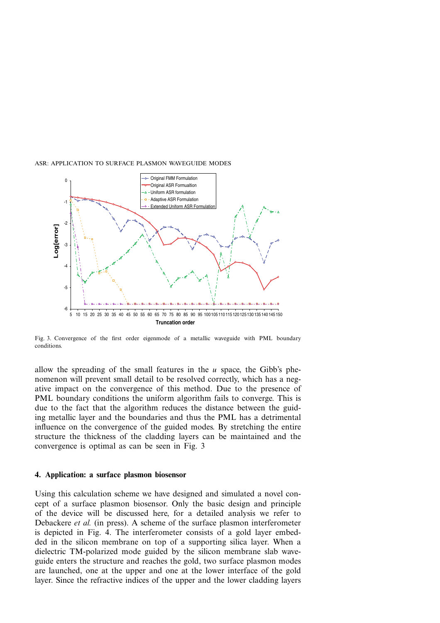

Fig. 3. Convergence of the first order eigenmode of a metallic waveguide with PML boundary conditions.

allow the spreading of the small features in the *u* space, the Gibb's phenomenon will prevent small detail to be resolved correctly, which has a negative impact on the convergence of this method. Due to the presence of PML boundary conditions the uniform algorithm fails to converge. This is due to the fact that the algorithm reduces the distance between the guiding metallic layer and the boundaries and thus the PML has a detrimental influence on the convergence of the guided modes. By stretching the entire structure the thickness of the cladding layers can be maintained and the convergence is optimal as can be seen in Fig. 3

### **4. Application: a surface plasmon biosensor**

Using this calculation scheme we have designed and simulated a novel concept of a surface plasmon biosensor. Only the basic design and principle of the device will be discussed here, for a detailed analysis we refer to Debackere *et al.* (in press). A scheme of the surface plasmon interferometer is depicted in Fig. 4. The interferometer consists of a gold layer embedded in the silicon membrane on top of a supporting silica layer. When a dielectric TM-polarized mode guided by the silicon membrane slab waveguide enters the structure and reaches the gold, two surface plasmon modes are launched, one at the upper and one at the lower interface of the gold layer. Since the refractive indices of the upper and the lower cladding layers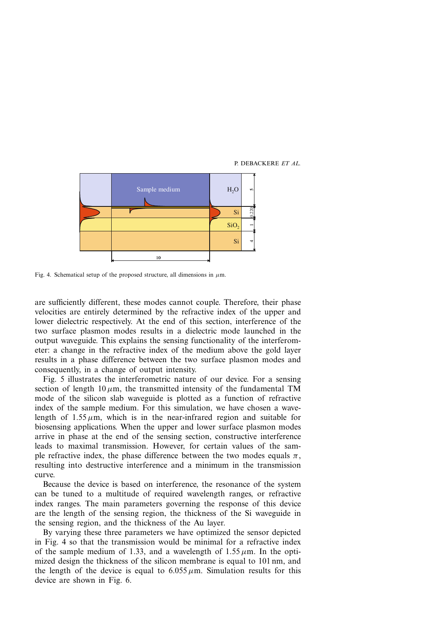

Fig. 4. Schematical setup of the proposed structure, all dimensions in  $\mu$ m.

are sufficiently different, these modes cannot couple. Therefore, their phase velocities are entirely determined by the refractive index of the upper and lower dielectric respectively. At the end of this section, interference of the two surface plasmon modes results in a dielectric mode launched in the output waveguide. This explains the sensing functionality of the interferometer: a change in the refractive index of the medium above the gold layer results in a phase difference between the two surface plasmon modes and consequently, in a change of output intensity.

Fig. 5 illustrates the interferometric nature of our device. For a sensing section of length  $10 \mu m$ , the transmitted intensity of the fundamental TM mode of the silicon slab waveguide is plotted as a function of refractive index of the sample medium. For this simulation, we have chosen a wavelength of  $1.55 \mu m$ , which is in the near-infrared region and suitable for biosensing applications. When the upper and lower surface plasmon modes arrive in phase at the end of the sensing section, constructive interference leads to maximal transmission. However, for certain values of the sample refractive index, the phase difference between the two modes equals  $\pi$ , resulting into destructive interference and a minimum in the transmission curve.

Because the device is based on interference, the resonance of the system can be tuned to a multitude of required wavelength ranges, or refractive index ranges. The main parameters governing the response of this device are the length of the sensing region, the thickness of the Si waveguide in the sensing region, and the thickness of the Au layer.

By varying these three parameters we have optimized the sensor depicted in Fig. 4 so that the transmission would be minimal for a refractive index of the sample medium of 1.33, and a wavelength of  $1.55 \mu m$ . In the optimized design the thickness of the silicon membrane is equal to 101 nm, and the length of the device is equal to  $6.055 \mu m$ . Simulation results for this device are shown in Fig. 6.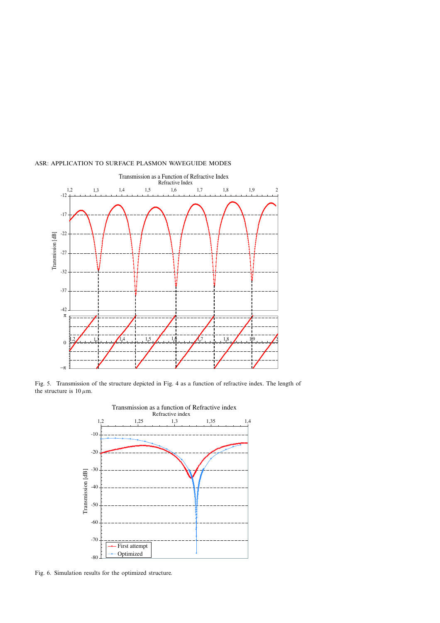

Fig. 5. Transmission of the structure depicted in Fig. 4 as a function of refractive index. The length of the structure is  $10 \mu$ m.



Fig. 6. Simulation results for the optimized structure.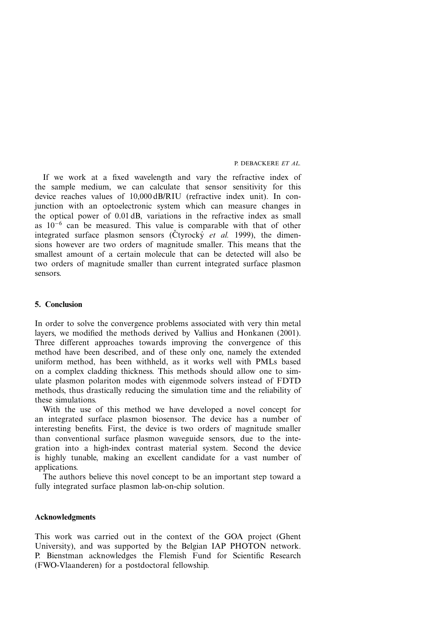If we work at a fixed wavelength and vary the refractive index of the sample medium, we can calculate that sensor sensitivity for this device reaches values of 10,000 dB/RIU (refractive index unit). In conjunction with an optoelectronic system which can measure changes in the optical power of 0.01 dB, variations in the refractive index as small as 10<sup>−</sup><sup>6</sup> can be measured. This value is comparable with that of other integrated surface plasmon sensors ( $\check{C}$ tyrock $\check{y}$  *et al.* 1999), the dimensions however are two orders of magnitude smaller. This means that the smallest amount of a certain molecule that can be detected will also be two orders of magnitude smaller than current integrated surface plasmon sensors.

## **5. Conclusion**

In order to solve the convergence problems associated with very thin metal layers, we modified the methods derived by Vallius and Honkanen (2001). Three different approaches towards improving the convergence of this method have been described, and of these only one, namely the extended uniform method, has been withheld, as it works well with PMLs based on a complex cladding thickness. This methods should allow one to simulate plasmon polariton modes with eigenmode solvers instead of FDTD methods, thus drastically reducing the simulation time and the reliability of these simulations.

With the use of this method we have developed a novel concept for an integrated surface plasmon biosensor. The device has a number of interesting benefits. First, the device is two orders of magnitude smaller than conventional surface plasmon waveguide sensors, due to the integration into a high-index contrast material system. Second the device is highly tunable, making an excellent candidate for a vast number of applications.

The authors believe this novel concept to be an important step toward a fully integrated surface plasmon lab-on-chip solution.

## **Acknowledgments**

This work was carried out in the context of the GOA project (Ghent University), and was supported by the Belgian IAP PHOTON network. P. Bienstman acknowledges the Flemish Fund for Scientific Research (FWO-Vlaanderen) for a postdoctoral fellowship.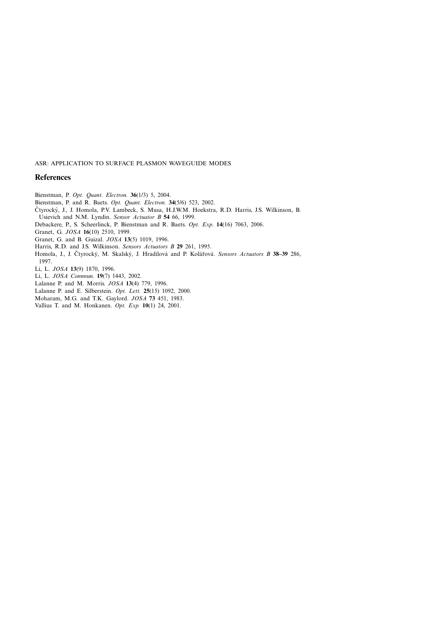## **References**

Bienstman, P. *Opt. Quant. Electron.* **36**(1/3) 5, 2004.

Bienstman, P. and R. Baets. *Opt. Quant. Electron.* **34**(5/6) 523, 2002.

- Čtyrocký, J., J. Homola, P.V. Lambeck, S. Musa, H.J.W.M. Hoekstra, R.D. Harris, J.S. Wilkinson, B. Usievich and N.M. Lyndin. *Sensor Actuator B* **54** 66, 1999.
- Debackere, P., S. Scheerlinck, P. Bienstman and R. Baets. *Opt. Exp*. **14**(16) 7063, 2006.

Granet, G. *JOSA* **16**(10) 2510, 1999.

Granet, G. and B. Guizal. *JOSA* **13**(5) 1019, 1996.

Harris, R.D. and J.S. Wilkinson. *Sensors Actuators B* **29** 261, 1995.

Homola, J., J. Čtyrocký, M. Skalský, J. Hradilová and P. Kolářová. Sensors Actuators B 38-39 286, 1997.

Li, L. *JOSA* **13**(9) 1870, 1996.

Li, L. *JOSA Commun.* **19**(7) 1443, 2002.

Lalanne P. and M. Morris. *JOSA* **13**(4) 779, 1996.

Lalanne P. and E. Silberstein. *Opt. Lett.* **25**(15) 1092, 2000.

Moharam, M.G. and T.K. Gaylord. *JOSA* **73** 451, 1983.

Vallius T. and M. Honkanen. *Opt. Exp.* **10**(1) 24, 2001.